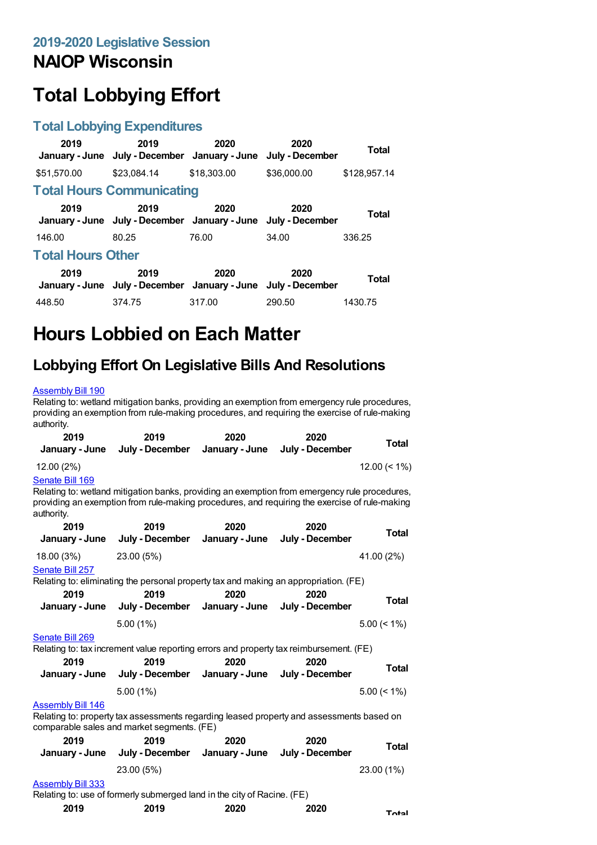## **NAIOP Wisconsin**

# **Total Lobbying Effort**

#### **Total Lobbying Expenditures**

| 2019                     | 2019<br>January - June July - December January - June July - December | 2020        | 2020        | Total        |  |
|--------------------------|-----------------------------------------------------------------------|-------------|-------------|--------------|--|
| \$51,570.00              | \$23.084.14                                                           | \$18,303,00 | \$36,000.00 | \$128,957.14 |  |
|                          | <b>Total Hours Communicating</b>                                      |             |             |              |  |
| 2019                     | 2019<br>January - June July - December January - June July - December | 2020        | 2020        | <b>Total</b> |  |
| 146.00                   | 80.25                                                                 | 76.00       | 34.00       | 336.25       |  |
| <b>Total Hours Other</b> |                                                                       |             |             |              |  |
| 2019                     | 2019<br>January - June July - December January - June July - December | 2020        | 2020        | <b>Total</b> |  |
| 448.50                   | 374.75                                                                | 317.00      | 290.50      | 1430.75      |  |

## **Hours Lobbied on Each Matter**

### **Lobbying Effort On Legislative Bills And Resolutions**

#### [Assembly](https://lobbying.wi.gov/What/BillInformation/2019REG/Information/16385?tab=Efforts) Bill 190

Relating to: wetland mitigation banks, providing an exemption from emergency rule procedures, providing an exemption from rule-making procedures, and requiring the exercise of rule-making authority.

| 2019<br>January - June        | 2019<br>July - December                                                                                                                                                                        | 2020<br>January - June | 2020<br>July - December | Total           |
|-------------------------------|------------------------------------------------------------------------------------------------------------------------------------------------------------------------------------------------|------------------------|-------------------------|-----------------|
| 12.00 (2%)                    |                                                                                                                                                                                                |                        |                         | $12.00 \le 1\%$ |
| Senate Bill 169<br>authority. | Relating to: wetland mitigation banks, providing an exemption from emergency rule procedures,<br>providing an exemption from rule-making procedures, and requiring the exercise of rule-making |                        |                         |                 |
| 2019                          | 2019                                                                                                                                                                                           | 2020                   | 2020                    | <b>Total</b>    |
| January - June                | July - December                                                                                                                                                                                | January - June         | July - December         |                 |
| 18.00 (3%)                    | 23.00 (5%)                                                                                                                                                                                     |                        |                         | 41.00 (2%)      |
| Senate Bill 257               |                                                                                                                                                                                                |                        |                         |                 |
|                               | Relating to: eliminating the personal property tax and making an appropriation. (FE)                                                                                                           |                        |                         |                 |
| 2019                          | 2019                                                                                                                                                                                           | 2020                   | 2020                    | Total           |
| January - June                | July - December                                                                                                                                                                                | January - June         | July - December         |                 |
|                               | $5.00(1\%)$                                                                                                                                                                                    |                        |                         | $5.00 \le 1\%$  |
| Senate Bill 269               |                                                                                                                                                                                                |                        |                         |                 |
|                               | Relating to: tax increment value reporting errors and property tax reimbursement. (FE)                                                                                                         |                        |                         |                 |
| 2019                          | 2019                                                                                                                                                                                           | 2020                   | 2020                    | Total           |
| January - June                | July - December                                                                                                                                                                                | January - June         | July - December         |                 |
|                               | 5.00(1%)                                                                                                                                                                                       |                        |                         | $5.00 \le 1\%$  |
| <b>Assembly Bill 146</b>      |                                                                                                                                                                                                |                        |                         |                 |
|                               | Relating to: property tax assessments regarding leased property and assessments based on<br>comparable sales and market segments. (FE)                                                         |                        |                         |                 |
| 2019                          | 2019                                                                                                                                                                                           | 2020                   | 2020                    | Total           |
| January - June                | July - December                                                                                                                                                                                | January - June         | July - December         |                 |
|                               | 23.00 (5%)                                                                                                                                                                                     |                        |                         | 23.00 (1%)      |
| <b>Assembly Bill 333</b>      |                                                                                                                                                                                                |                        |                         |                 |
|                               | Relating to: use of formerly submerged land in the city of Racine. (FE)                                                                                                                        |                        |                         |                 |
| $\sim$ 0010                   |                                                                                                                                                                                                |                        |                         |                 |

| 2019 | 2019 | 2020 | 2020 | Total |
|------|------|------|------|-------|
|------|------|------|------|-------|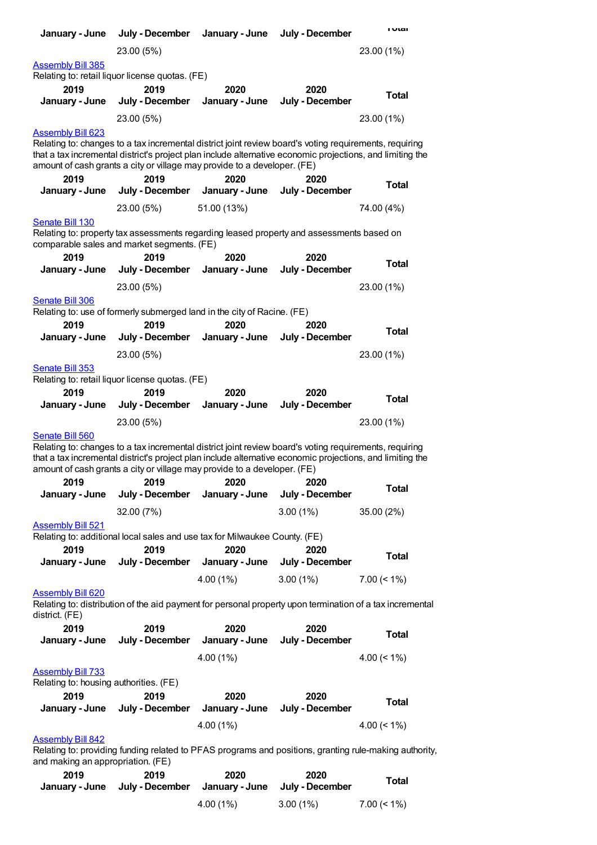| January - June                                                                                                                                                                                                                                                                                  | July - December         | January - June         | July - December         | <b>I</b> Utal                                                                                          |
|-------------------------------------------------------------------------------------------------------------------------------------------------------------------------------------------------------------------------------------------------------------------------------------------------|-------------------------|------------------------|-------------------------|--------------------------------------------------------------------------------------------------------|
|                                                                                                                                                                                                                                                                                                 | 23.00 (5%)              |                        |                         | 23.00 (1%)                                                                                             |
| <b>Assembly Bill 385</b><br>Relating to: retail liquor license quotas. (FE)                                                                                                                                                                                                                     |                         |                        |                         |                                                                                                        |
| 2019<br>January - June                                                                                                                                                                                                                                                                          | 2019<br>July - December | 2020<br>January - June | 2020<br>July - December | <b>Total</b>                                                                                           |
|                                                                                                                                                                                                                                                                                                 | 23.00 (5%)              |                        |                         | 23.00 (1%)                                                                                             |
| <b>Assembly Bill 623</b>                                                                                                                                                                                                                                                                        |                         |                        |                         |                                                                                                        |
| Relating to: changes to a tax incremental district joint review board's voting requirements, requiring<br>that a tax incremental district's project plan include alternative economic projections, and limiting the<br>amount of cash grants a city or village may provide to a developer. (FE) |                         |                        |                         |                                                                                                        |
| 2019<br>January - June                                                                                                                                                                                                                                                                          | 2019<br>July - December | 2020<br>January - June | 2020<br>July - December | Total                                                                                                  |
|                                                                                                                                                                                                                                                                                                 | 23.00 (5%)              | 51.00 (13%)            |                         | 74.00 (4%)                                                                                             |
| Senate Bill 130<br>Relating to: property tax assessments regarding leased property and assessments based on<br>comparable sales and market segments. (FE)                                                                                                                                       |                         |                        |                         |                                                                                                        |
| 2019<br>January - June                                                                                                                                                                                                                                                                          | 2019<br>July - December | 2020<br>January - June | 2020<br>July - December | <b>Total</b>                                                                                           |
|                                                                                                                                                                                                                                                                                                 | 23.00 (5%)              |                        |                         | 23.00 (1%)                                                                                             |
| Senate Bill 306<br>Relating to: use of formerly submerged land in the city of Racine. (FE)                                                                                                                                                                                                      |                         |                        |                         |                                                                                                        |
| 2019                                                                                                                                                                                                                                                                                            | 2019                    | 2020                   | 2020                    |                                                                                                        |
| January - June                                                                                                                                                                                                                                                                                  | July - December         | January - June         | July - December         | Total                                                                                                  |
|                                                                                                                                                                                                                                                                                                 | 23.00 (5%)              |                        |                         | 23.00 (1%)                                                                                             |
| Senate Bill 353                                                                                                                                                                                                                                                                                 |                         |                        |                         |                                                                                                        |
| Relating to: retail liquor license quotas. (FE)<br>2019                                                                                                                                                                                                                                         | 2019                    | 2020                   | 2020                    |                                                                                                        |
| January - June                                                                                                                                                                                                                                                                                  | July - December         | January - June         | July - December         | <b>Total</b>                                                                                           |
|                                                                                                                                                                                                                                                                                                 | 23.00 (5%)              |                        |                         | 23.00 (1%)                                                                                             |
| Senate Bill 560                                                                                                                                                                                                                                                                                 |                         |                        |                         |                                                                                                        |
| Relating to: changes to a tax incremental district joint review board's voting requirements, requiring<br>that a tax incremental district's project plan include alternative economic projections, and limiting the<br>amount of cash grants a city or village may provide to a developer. (FE) |                         |                        |                         |                                                                                                        |
| 2019<br>January - June                                                                                                                                                                                                                                                                          | 2019<br>July - December | 2020<br>January - June | 2020<br>July - December | <b>Total</b>                                                                                           |
|                                                                                                                                                                                                                                                                                                 | 32.00 (7%)              |                        | $3.00(1\%)$             | 35.00 (2%)                                                                                             |
| <b>Assembly Bill 521</b>                                                                                                                                                                                                                                                                        |                         |                        |                         |                                                                                                        |
| Relating to: additional local sales and use tax for Milwaukee County. (FE)<br>2019                                                                                                                                                                                                              | 2019                    | 2020                   | 2020                    |                                                                                                        |
| January - June                                                                                                                                                                                                                                                                                  | July - December         | January - June         | July - December         | <b>Total</b>                                                                                           |
|                                                                                                                                                                                                                                                                                                 |                         | 4.00 (1%)              | $3.00(1\%)$             | $7.00 \le 1\%$                                                                                         |
| <b>Assembly Bill 620</b><br>Relating to: distribution of the aid payment for personal property upon termination of a tax incremental<br>district. (FE)                                                                                                                                          |                         |                        |                         |                                                                                                        |
| 2019<br>January - June                                                                                                                                                                                                                                                                          | 2019<br>July - December | 2020<br>January - June | 2020<br>July - December | <b>Total</b>                                                                                           |
|                                                                                                                                                                                                                                                                                                 |                         | $4.00(1\%)$            |                         | 4.00 $(< 1\%)$                                                                                         |
| <b>Assembly Bill 733</b>                                                                                                                                                                                                                                                                        |                         |                        |                         |                                                                                                        |
| Relating to: housing authorities. (FE)                                                                                                                                                                                                                                                          |                         |                        |                         |                                                                                                        |
| 2019<br>January - June                                                                                                                                                                                                                                                                          | 2019<br>July - December | 2020<br>January - June | 2020<br>July - December | Total                                                                                                  |
|                                                                                                                                                                                                                                                                                                 |                         | $4.00(1\%)$            |                         | 4.00 $($ < 1%)                                                                                         |
| <b>Assembly Bill 842</b>                                                                                                                                                                                                                                                                        |                         |                        |                         |                                                                                                        |
|                                                                                                                                                                                                                                                                                                 |                         |                        |                         | Relating to: providing funding related to PFAS programs and positions, granting rule-making authority, |
| and making an appropriation. (FE)<br>2019                                                                                                                                                                                                                                                       | 2019                    | 2020                   | 2020                    | <b>Tatal</b>                                                                                           |

| 20 I J | 20 I J | LULU<br>January - June July - December January - June July - December | LULU        | Total          |
|--------|--------|-----------------------------------------------------------------------|-------------|----------------|
|        |        | $4.00(1\%)$                                                           | $3.00(1\%)$ | $7.00 \le 1\%$ |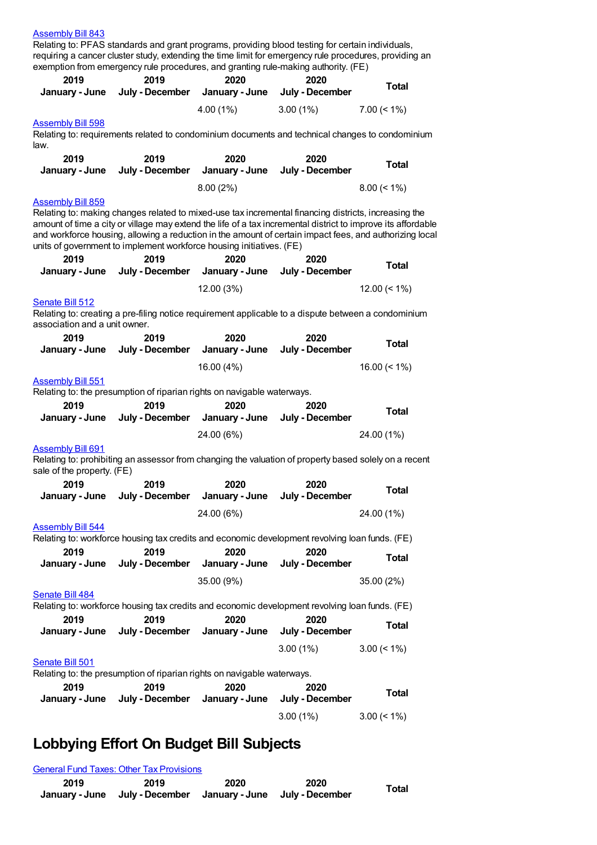#### [Assembly](https://lobbying.wi.gov/What/BillInformation/2019REG/Information/17814?tab=Efforts) Bill 843

Relating to: PFAS standards and grant programs, providing blood testing for certain individuals, requiring a cancer cluster study, extending the time limit for emergency rule procedures, providing an exemption from emergency rule procedures, and granting rule-making authority. (FE)

| 2019                                                                    | 2019                                                                    | 2020                   | exemption from emergency rule procedures, and granting rule-making authority. (FE)<br>2020            |                                                                                                                                                                                                                         |
|-------------------------------------------------------------------------|-------------------------------------------------------------------------|------------------------|-------------------------------------------------------------------------------------------------------|-------------------------------------------------------------------------------------------------------------------------------------------------------------------------------------------------------------------------|
| January - June                                                          | July - December                                                         | January - June         | July - December                                                                                       | <b>Total</b>                                                                                                                                                                                                            |
|                                                                         |                                                                         | 4.00 (1%)              | $3.00(1\%)$                                                                                           | $7.00 \le 1\%$                                                                                                                                                                                                          |
| <b>Assembly Bill 598</b>                                                |                                                                         |                        |                                                                                                       |                                                                                                                                                                                                                         |
| law.                                                                    |                                                                         |                        | Relating to: requirements related to condominium documents and technical changes to condominium       |                                                                                                                                                                                                                         |
| 2019                                                                    | 2019                                                                    | 2020                   | 2020                                                                                                  |                                                                                                                                                                                                                         |
| January - June                                                          | July - December                                                         | January - June         | July - December                                                                                       | <b>Total</b>                                                                                                                                                                                                            |
|                                                                         |                                                                         | 8.00(2%)               |                                                                                                       | $8.00 \le 1\%$                                                                                                                                                                                                          |
| <u>Assembly Bill 859</u>                                                |                                                                         |                        |                                                                                                       |                                                                                                                                                                                                                         |
| units of government to implement workforce housing initiatives. (FE)    |                                                                         |                        | Relating to: making changes related to mixed-use tax incremental financing districts, increasing the  | amount of time a city or village may extend the life of a tax incremental district to improve its affordable<br>and workforce housing, allowing a reduction in the amount of certain impact fees, and authorizing local |
| 2019<br>January - June                                                  | 2019<br>July - December                                                 | 2020<br>January - June | 2020<br>July - December                                                                               | <b>Total</b>                                                                                                                                                                                                            |
|                                                                         |                                                                         |                        |                                                                                                       |                                                                                                                                                                                                                         |
| Senate Bill 512                                                         |                                                                         | 12.00 (3%)             |                                                                                                       | $12.00 \le 1\%$                                                                                                                                                                                                         |
| association and a unit owner.                                           |                                                                         |                        | Relating to: creating a pre-filing notice requirement applicable to a dispute between a condominium   |                                                                                                                                                                                                                         |
| 2019                                                                    | 2019                                                                    | 2020                   | 2020                                                                                                  | <b>Total</b>                                                                                                                                                                                                            |
| January - June                                                          | July - December                                                         | January - June         | July - December                                                                                       |                                                                                                                                                                                                                         |
|                                                                         |                                                                         | 16.00 (4%)             |                                                                                                       | 16.00 $($ < 1% $)$                                                                                                                                                                                                      |
| <b>Assembly Bill 551</b>                                                |                                                                         |                        |                                                                                                       |                                                                                                                                                                                                                         |
| Relating to: the presumption of riparian rights on navigable waterways. |                                                                         |                        |                                                                                                       |                                                                                                                                                                                                                         |
| 2019                                                                    | 2019                                                                    | 2020                   | 2020                                                                                                  | <b>Total</b>                                                                                                                                                                                                            |
| January - June                                                          | July - December                                                         | January - June         | July - December                                                                                       |                                                                                                                                                                                                                         |
|                                                                         |                                                                         | 24.00 (6%)             |                                                                                                       | 24.00 (1%)                                                                                                                                                                                                              |
| <b>Assembly Bill 691</b>                                                |                                                                         |                        | Relating to: prohibiting an assessor from changing the valuation of property based solely on a recent |                                                                                                                                                                                                                         |
| sale of the property. (FE)                                              |                                                                         |                        |                                                                                                       |                                                                                                                                                                                                                         |
| 2019                                                                    | 2019                                                                    | 2020                   | 2020                                                                                                  | <b>Total</b>                                                                                                                                                                                                            |
| January - June                                                          | July - December                                                         | January - June         | July - December                                                                                       |                                                                                                                                                                                                                         |
|                                                                         |                                                                         | 24.00 (6%)             |                                                                                                       | 24.00 (1%)                                                                                                                                                                                                              |
| <b>Assembly Bill 544</b>                                                |                                                                         |                        |                                                                                                       |                                                                                                                                                                                                                         |
|                                                                         |                                                                         |                        | Relating to: workforce housing tax credits and economic development revolving loan funds. (FE)        |                                                                                                                                                                                                                         |
| 2019<br>January - June                                                  | 2019<br>July - December                                                 | 2020<br>January - June | 2020<br>July - December                                                                               | <b>Total</b>                                                                                                                                                                                                            |
|                                                                         |                                                                         |                        |                                                                                                       |                                                                                                                                                                                                                         |
| Senate Bill 484                                                         |                                                                         | 35.00 (9%)             |                                                                                                       | 35.00 (2%)                                                                                                                                                                                                              |
|                                                                         |                                                                         |                        | Relating to: workforce housing tax credits and economic development revolving loan funds. (FE)        |                                                                                                                                                                                                                         |
| 2019<br>January - June                                                  | 2019<br>July - December                                                 | 2020<br>January - June | 2020<br>July - December                                                                               | <b>Total</b>                                                                                                                                                                                                            |
|                                                                         |                                                                         |                        |                                                                                                       |                                                                                                                                                                                                                         |
|                                                                         |                                                                         |                        | $3.00(1\%)$                                                                                           | $3.00 \le 1\%$                                                                                                                                                                                                          |
| Senate Bill 501                                                         | Relating to: the presumption of riparian rights on navigable waterways. |                        |                                                                                                       |                                                                                                                                                                                                                         |
| 2019                                                                    | 2019                                                                    | 2020                   | 2020                                                                                                  |                                                                                                                                                                                                                         |
| January - June                                                          | July - December                                                         | January - June         | July - December                                                                                       | <b>Total</b>                                                                                                                                                                                                            |
|                                                                         |                                                                         |                        | 3.00(1%)                                                                                              | $3.00 \le 1\%$                                                                                                                                                                                                          |

## **Lobbying Effort On Budget Bill Subjects**

|      | <b>General Fund Taxes: Other Tax Provisions</b>                       |      |      |       |
|------|-----------------------------------------------------------------------|------|------|-------|
| 2019 | 2019<br>January - June July - December January - June July - December | 2020 | 2020 | Total |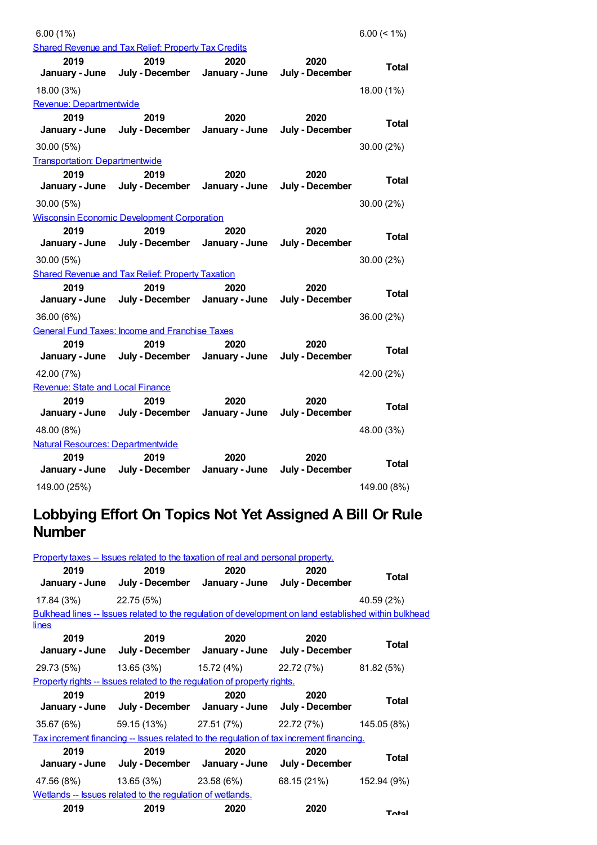| 6.00(1%)                                 |                                                                 |                        |                         | $6.00 (< 1\%)$ |
|------------------------------------------|-----------------------------------------------------------------|------------------------|-------------------------|----------------|
|                                          | <b>Shared Revenue and Tax Relief: Property Tax Credits</b>      |                        |                         |                |
| 2019                                     | 2019                                                            | 2020                   | 2020                    | <b>Total</b>   |
| January - June                           | July - December                                                 | January - June         | July - December         |                |
| 18.00 (3%)                               |                                                                 |                        |                         | 18.00 (1%)     |
| Revenue: Departmentwide                  |                                                                 |                        |                         |                |
| 2019                                     | 2019                                                            | 2020                   | 2020                    | Total          |
| January - June                           | July - December                                                 | January - June         | July - December         |                |
| 30.00 (5%)                               |                                                                 |                        |                         | 30.00 (2%)     |
| <b>Transportation: Departmentwide</b>    |                                                                 |                        |                         |                |
| 2019<br>January - June                   | 2019<br>July - December                                         | 2020<br>January - June | 2020<br>July - December | Total          |
|                                          |                                                                 |                        |                         |                |
| 30.00 (5%)                               |                                                                 |                        |                         | 30.00 (2%)     |
|                                          | <b>Wisconsin Economic Development Corporation</b>               |                        |                         |                |
| 2019<br>January - June                   | 2019<br>July - December                                         | 2020<br>January - June | 2020<br>July - December | Total          |
|                                          |                                                                 |                        |                         |                |
| 30.00 (5%)                               |                                                                 |                        |                         | 30.00 (2%)     |
| 2019                                     | <b>Shared Revenue and Tax Relief: Property Taxation</b><br>2019 | 2020                   | 2020                    |                |
| January - June                           | July - December                                                 | January - June         | July - December         | Total          |
|                                          |                                                                 |                        |                         |                |
| 36.00 (6%)                               |                                                                 |                        |                         | 36.00 (2%)     |
| 2019                                     | <b>General Fund Taxes: Income and Franchise Taxes</b><br>2019   | 2020                   | 2020                    |                |
| January - June                           | July - December                                                 | January - June         | July - December         | Total          |
| 42.00 (7%)                               |                                                                 |                        |                         | 42.00 (2%)     |
| <b>Revenue: State and Local Finance</b>  |                                                                 |                        |                         |                |
| 2019                                     | 2019                                                            | 2020                   | 2020                    |                |
| January - June                           | July - December                                                 | January - June         | July - December         | Total          |
| 48.00 (8%)                               |                                                                 |                        |                         | 48.00 (3%)     |
| <b>Natural Resources: Departmentwide</b> |                                                                 |                        |                         |                |
| 2019                                     | 2019                                                            | 2020                   | 2020                    |                |
| January - June                           | July - December                                                 | January - June         | July - December         | Total          |
| 149.00 (25%)                             |                                                                 |                        |                         | 149.00 (8%)    |

### **Lobbying Effort On Topics Not Yet Assigned A Bill Or Rule Number**

|                                                                  | Property taxes -- Issues related to the taxation of real and personal property. |      |                                                                                                       |              |  |
|------------------------------------------------------------------|---------------------------------------------------------------------------------|------|-------------------------------------------------------------------------------------------------------|--------------|--|
| 2019                                                             | 2019<br>January - June July - December January - June July - December           | 2020 | 2020                                                                                                  | Total        |  |
| $17.84(3%)$ 22.75(5%)                                            |                                                                                 |      |                                                                                                       | 40.59 (2%)   |  |
|                                                                  |                                                                                 |      | Bulkhead lines -- Issues related to the regulation of development on land established within bulkhead |              |  |
| lines                                                            |                                                                                 |      |                                                                                                       |              |  |
| 2019                                                             | 2019<br>January - June July - December January - June July - December           | 2020 | 2020                                                                                                  | Total        |  |
|                                                                  |                                                                                 |      | $29.73(5\%)$ $13.65(3\%)$ $15.72(4\%)$ $22.72(7\%)$ $81.82(5\%)$                                      |              |  |
|                                                                  | Property rights -- Issues related to the regulation of property rights.         |      |                                                                                                       |              |  |
| 2019                                                             | 2019<br>January - June July - December January - June July - December           | 2020 | 2020                                                                                                  | Total        |  |
|                                                                  |                                                                                 |      | $35.67(6%)$ $59.15(13%)$ $27.51(7%)$ $22.72(7%)$ $145.05(8%)$                                         |              |  |
|                                                                  |                                                                                 |      | <u>Tax increment financing -- Issues related to the regulation of tax increment financing.</u>        |              |  |
| 2019                                                             | 2019<br>January - June July - December January - June July - December           | 2020 | 2020                                                                                                  | <b>Total</b> |  |
|                                                                  | $47.56(8\%)$ $13.65(3\%)$ $23.58(6\%)$                                          |      | 68.15 (21%) 152.94 (9%)                                                                               |              |  |
| <u>Wetlands -- Issues related to the regulation of wetlands.</u> |                                                                                 |      |                                                                                                       |              |  |
| 2019                                                             | 2019                                                                            | 2020 | 2020                                                                                                  | Total        |  |